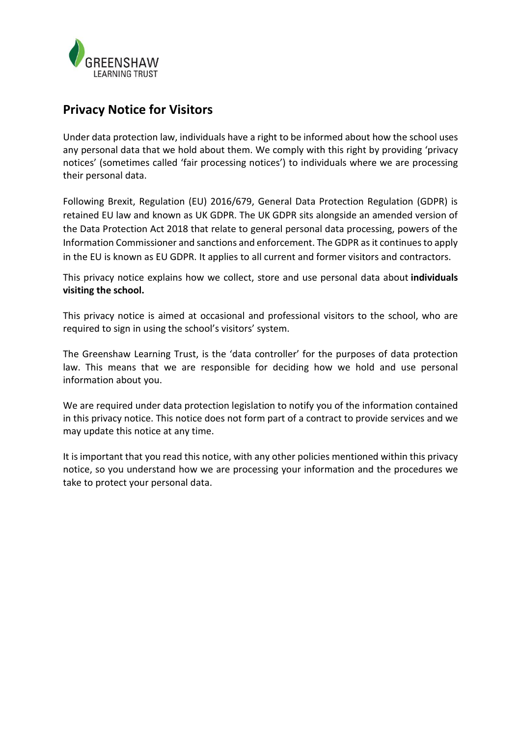

# **Privacy Notice for Visitors**

Under data protection law, individuals have a right to be informed about how the school uses any personal data that we hold about them. We comply with this right by providing 'privacy notices' (sometimes called 'fair processing notices') to individuals where we are processing their personal data.

Following Brexit, Regulation (EU) 2016/679, General Data Protection Regulation (GDPR) is retained EU law and known as UK GDPR. The UK GDPR sits alongside an amended version of the Data Protection Act 2018 that relate to general personal data processing, powers of the Information Commissioner and sanctions and enforcement. The GDPR as it continues to apply in the EU is known as EU GDPR. It applies to all current and former visitors and contractors.

This privacy notice explains how we collect, store and use personal data about **individuals visiting the school.**

This privacy notice is aimed at occasional and professional visitors to the school, who are required to sign in using the school's visitors' system.

The Greenshaw Learning Trust, is the 'data controller' for the purposes of data protection law. This means that we are responsible for deciding how we hold and use personal information about you.

We are required under data protection legislation to notify you of the information contained in this privacy notice. This notice does not form part of a contract to provide services and we may update this notice at any time.

It is important that you read this notice, with any other policies mentioned within this privacy notice, so you understand how we are processing your information and the procedures we take to protect your personal data.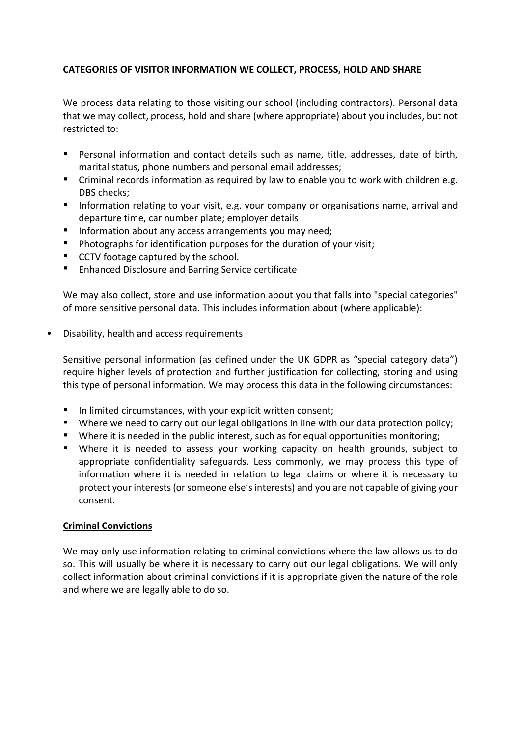# **CATEGORIES OF VISITOR INFORMATION WE COLLECT, PROCESS, HOLD AND SHARE**

We process data relating to those visiting our school (including contractors). Personal data that we may collect, process, hold and share (where appropriate) about you includes, but not restricted to:

- Personal information and contact details such as name, title, addresses, date of birth, marital status, phone numbers and personal email addresses;
- Criminal records information as required by law to enable you to work with children e.g. DBS checks;
- Information relating to your visit, e.g. your company or organisations name, arrival and departure time, car number plate; employer details
- **·** Information about any access arrangements you may need;
- Photographs for identification purposes for the duration of your visit;
- CCTV footage captured by the school.
- Enhanced Disclosure and Barring Service certificate

We may also collect, store and use information about you that falls into "special categories" of more sensitive personal data. This includes information about (where applicable):

• Disability, health and access requirements

Sensitive personal information (as defined under the UK GDPR as "special category data") require higher levels of protection and further justification for collecting, storing and using this type of personal information. We may process this data in the following circumstances:

- In limited circumstances, with your explicit written consent;
- Where we need to carry out our legal obligations in line with our data protection policy;
- Where it is needed in the public interest, such as for equal opportunities monitoring;
- Where it is needed to assess your working capacity on health grounds, subject to appropriate confidentiality safeguards. Less commonly, we may process this type of information where it is needed in relation to legal claims or where it is necessary to protect your interests (or someone else's interests) and you are not capable of giving your consent.

## **Criminal Convictions**

We may only use information relating to criminal convictions where the law allows us to do so. This will usually be where it is necessary to carry out our legal obligations. We will only collect information about criminal convictions if it is appropriate given the nature of the role and where we are legally able to do so.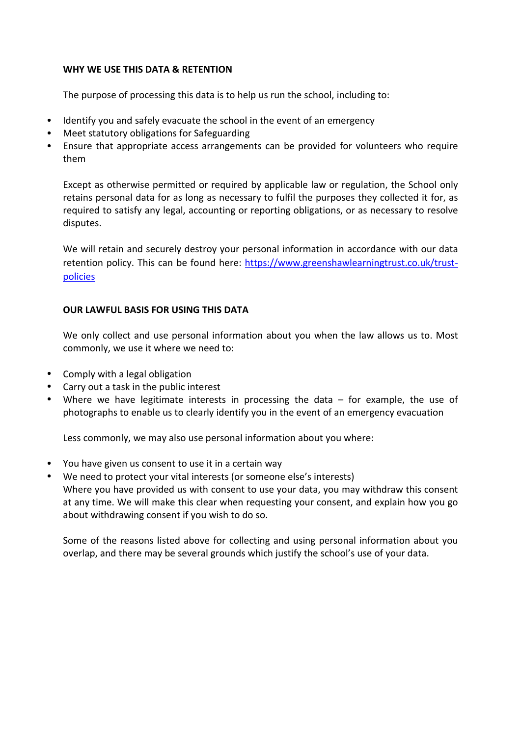## **WHY WE USE THIS DATA & RETENTION**

The purpose of processing this data is to help us run the school, including to:

- Identify you and safely evacuate the school in the event of an emergency
- Meet statutory obligations for Safeguarding
- Ensure that appropriate access arrangements can be provided for volunteers who require them

Except as otherwise permitted or required by applicable law or regulation, the School only retains personal data for as long as necessary to fulfil the purposes they collected it for, as required to satisfy any legal, accounting or reporting obligations, or as necessary to resolve disputes.

We will retain and securely destroy your personal information in accordance with our data retention policy. This can be found here: [https://www.greenshawlearningtrust.co.uk/trust](https://www.greenshawlearningtrust.co.uk/trust-policies)[policies](https://www.greenshawlearningtrust.co.uk/trust-policies)

## **OUR LAWFUL BASIS FOR USING THIS DATA**

We only collect and use personal information about you when the law allows us to. Most commonly, we use it where we need to:

- Comply with a legal obligation
- Carry out a task in the public interest
- Where we have legitimate interests in processing the data for example, the use of photographs to enable us to clearly identify you in the event of an emergency evacuation

Less commonly, we may also use personal information about you where:

- You have given us consent to use it in a certain way
- We need to protect your vital interests (or someone else's interests) Where you have provided us with consent to use your data, you may withdraw this consent at any time. We will make this clear when requesting your consent, and explain how you go about withdrawing consent if you wish to do so.

Some of the reasons listed above for collecting and using personal information about you overlap, and there may be several grounds which justify the school's use of your data.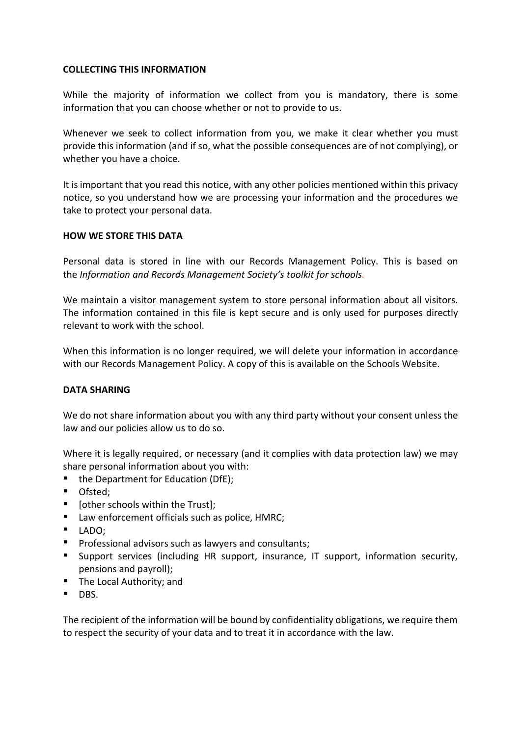## **COLLECTING THIS INFORMATION**

While the majority of information we collect from you is mandatory, there is some information that you can choose whether or not to provide to us.

Whenever we seek to collect information from you, we make it clear whether you must provide this information (and if so, what the possible consequences are of not complying), or whether you have a choice.

It is important that you read this notice, with any other policies mentioned within this privacy notice, so you understand how we are processing your information and the procedures we take to protect your personal data.

## **HOW WE STORE THIS DATA**

Personal data is stored in line with our Records Management Policy. This is based on the *Information and Records [Management](http://irms.org.uk/?page=schoolstoolkit&terms=%22toolkit+and+schools%22) Society's toolkit for schools.*

We maintain a visitor management system to store personal information about all visitors. The information contained in this file is kept secure and is only used for purposes directly relevant to work with the school.

When this information is no longer required, we will delete your information in accordance with our Records Management Policy. A copy of this is available on the Schools Website.

## **DATA SHARING**

We do not share information about you with any third party without your consent unless the law and our policies allow us to do so.

Where it is legally required, or necessary (and it complies with data protection law) we may share personal information about you with:

- the Department for Education (DfE);
- Ofsted;
- [other schools within the Trust];
- Law enforcement officials such as police, HMRC;
- LADO;
- Professional advisors such as lawyers and consultants;
- Support services (including HR support, insurance, IT support, information security, pensions and payroll);
- The Local Authority; and
- DBS.

The recipient of the information will be bound by confidentiality obligations, we require them to respect the security of your data and to treat it in accordance with the law.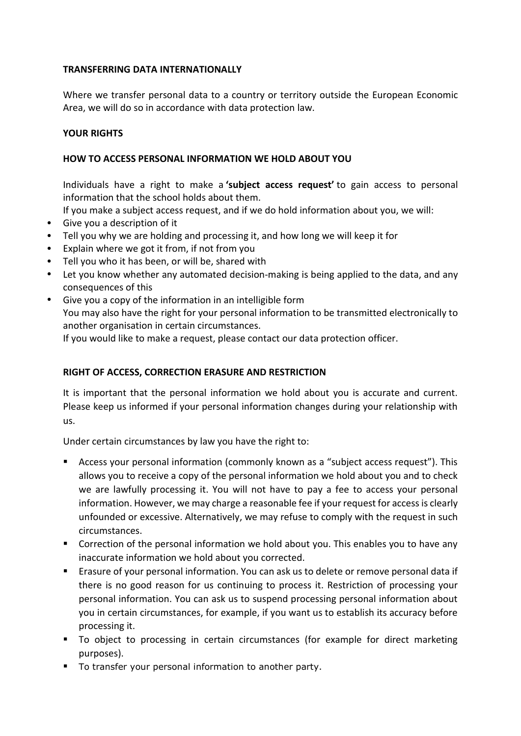## **TRANSFERRING DATA INTERNATIONALLY**

Where we transfer personal data to a country or territory outside the European Economic Area, we will do so in accordance with data protection law.

## **YOUR RIGHTS**

## **HOW TO ACCESS PERSONAL INFORMATION WE HOLD ABOUT YOU**

Individuals have a right to make a **'subject access request'** to gain access to personal information that the school holds about them.

If you make a subject access request, and if we do hold information about you, we will:

- Give you a description of it
- Tell you why we are holding and processing it, and how long we will keep it for
- Explain where we got it from, if not from you
- Tell you who it has been, or will be, shared with
- Let you know whether any automated decision-making is being applied to the data, and any consequences of this
- Give you a copy of the information in an intelligible form You may also have the right for your personal information to be transmitted electronically to another organisation in certain circumstances.

If you would like to make a request, please contact our data protection officer.

# **RIGHT OF ACCESS, CORRECTION ERASURE AND RESTRICTION**

It is important that the personal information we hold about you is accurate and current. Please keep us informed if your personal information changes during your relationship with us.

Under certain circumstances by law you have the right to:

- Access your personal information (commonly known as a "subject access request"). This allows you to receive a copy of the personal information we hold about you and to check we are lawfully processing it. You will not have to pay a fee to access your personal information. However, we may charge a reasonable fee if your request for access is clearly unfounded or excessive. Alternatively, we may refuse to comply with the request in such circumstances.
- Correction of the personal information we hold about you. This enables you to have any inaccurate information we hold about you corrected.
- Erasure of your personal information. You can ask us to delete or remove personal data if there is no good reason for us continuing to process it. Restriction of processing your personal information. You can ask us to suspend processing personal information about you in certain circumstances, for example, if you want us to establish its accuracy before processing it.
- To object to processing in certain circumstances (for example for direct marketing purposes).
- To transfer your personal information to another party.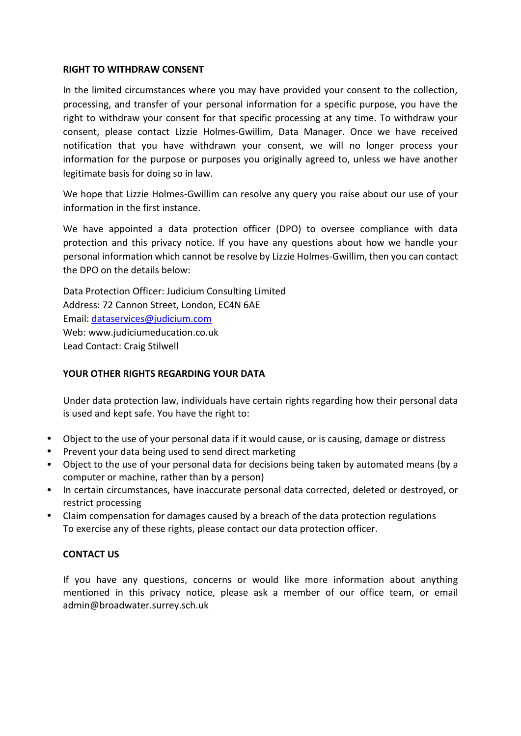## **RIGHT TO WITHDRAW CONSENT**

In the limited circumstances where you may have provided your consent to the collection, processing, and transfer of your personal information for a specific purpose, you have the right to withdraw your consent for that specific processing at any time. To withdraw your consent, please contact Lizzie Holmes-Gwillim, Data Manager. Once we have received notification that you have withdrawn your consent, we will no longer process your information for the purpose or purposes you originally agreed to, unless we have another legitimate basis for doing so in law.

We hope that Lizzie Holmes-Gwillim can resolve any query you raise about our use of your information in the first instance.

We have appointed a data protection officer (DPO) to oversee compliance with data protection and this privacy notice. If you have any questions about how we handle your personal information which cannot be resolve by Lizzie Holmes-Gwillim, then you can contact the DPO on the details below:

Data Protection Officer: Judicium Consulting Limited Address: 72 Cannon Street, London, EC4N 6AE Email: [dataservices@judicium.com](mailto:dataservices@judicium.com) Web: www.judiciumeducation.co.uk Lead Contact: Craig Stilwell

# **YOUR OTHER RIGHTS REGARDING YOUR DATA**

Under data protection law, individuals have certain rights regarding how their personal data is used and kept safe. You have the right to:

- Object to the use of your personal data if it would cause, or is causing, damage or distress
- Prevent your data being used to send direct marketing
- Object to the use of your personal data for decisions being taken by automated means (by a computer or machine, rather than by a person)
- In certain circumstances, have inaccurate personal data corrected, deleted or destroyed, or restrict processing
- Claim compensation for damages caused by a breach of the data protection regulations To exercise any of these rights, please contact our data protection officer.

# **CONTACT US**

If you have any questions, concerns or would like more information about anything mentioned in this privacy notice, please ask a member of our office team, or email admin@broadwater.surrey.sch.uk